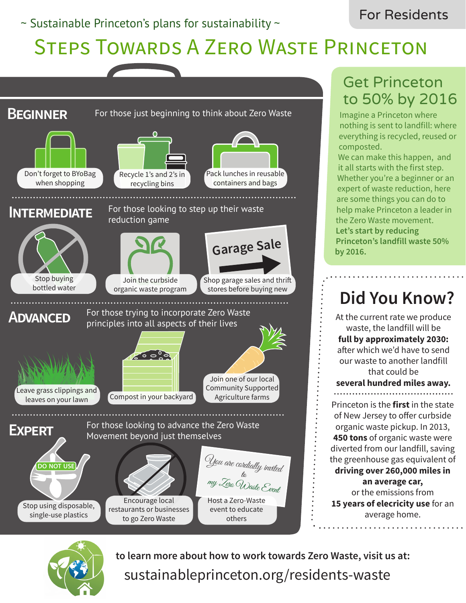$\sim$  Sustainable Princeton's plans for sustainability  $\sim$ 

### For Residents

# STEPS TOWARDS A ZERO WASTE PRINCETON



# Get Princeton to 50% by 2016

Imagine a Princeton where nothing is sent to landfill: where everything is recycled, reused or composted. We can make this happen, and it all starts with the first step. Whether you're a beginner or an expert of waste reduction, here are some things you can do to help make Princeton a leader in the Zero Waste movement. **Let's start by reducing Princeton's landfill waste 50% by 2016.**

# **Did You Know?**

At the current rate we produce waste, the landfill will be **full by approximately 2030:** after which we'd have to send our waste to another landfill that could be **several hundred miles away.**

Princeton is the **first** in the state of New Jersey to offer curbside organic waste pickup. In 2013, **450 tons** of organic waste were diverted from our landfill, saving the greenhouse gas equivalent of **driving over 260,000 miles in an average car,**

or the emissions from **15 years of elecricity use** for an average home.



sustainableprinceton.org/residents-waste **to learn more about how to work towards Zero Waste, visit us at:**